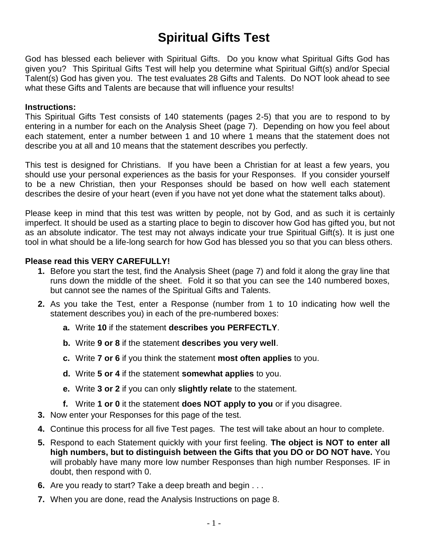# **Spiritual Gifts Test**

God has blessed each believer with Spiritual Gifts. Do you know what Spiritual Gifts God has given you? This Spiritual Gifts Test will help you determine what Spiritual Gift(s) and/or Special Talent(s) God has given you. The test evaluates 28 Gifts and Talents. Do NOT look ahead to see what these Gifts and Talents are because that will influence your results!

#### **Instructions:**

This Spiritual Gifts Test consists of 140 statements (pages 2-5) that you are to respond to by entering in a number for each on the Analysis Sheet (page 7). Depending on how you feel about each statement, enter a number between 1 and 10 where 1 means that the statement does not describe you at all and 10 means that the statement describes you perfectly.

This test is designed for Christians. If you have been a Christian for at least a few years, you should use your personal experiences as the basis for your Responses. If you consider yourself to be a new Christian, then your Responses should be based on how well each statement describes the desire of your heart (even if you have not yet done what the statement talks about).

Please keep in mind that this test was written by people, not by God, and as such it is certainly imperfect. It should be used as a starting place to begin to discover how God has gifted you, but not as an absolute indicator. The test may not always indicate your true Spiritual Gift(s). It is just one tool in what should be a life-long search for how God has blessed you so that you can bless others.

#### **Please read this VERY CAREFULLY!**

- **1.** Before you start the test, find the Analysis Sheet (page 7) and fold it along the gray line that runs down the middle of the sheet. Fold it so that you can see the 140 numbered boxes, but cannot see the names of the Spiritual Gifts and Talents.
- **2.** As you take the Test, enter a Response (number from 1 to 10 indicating how well the statement describes you) in each of the pre-numbered boxes:
	- **a.** Write **10** if the statement **describes you PERFECTLY**.
	- **b.** Write **9 or 8** if the statement **describes you very well**.
	- **c.** Write **7 or 6** if you think the statement **most often applies** to you.
	- **d.** Write **5 or 4** if the statement **somewhat applies** to you.
	- **e.** Write **3 or 2** if you can only **slightly relate** to the statement.
	- **f.** Write **1 or 0** it the statement **does NOT apply to you** or if you disagree.
- **3.** Now enter your Responses for this page of the test.
- **4.** Continue this process for all five Test pages. The test will take about an hour to complete.
- **5.** Respond to each Statement quickly with your first feeling. **The object is NOT to enter all high numbers, but to distinguish between the Gifts that you DO or DO NOT have.** You will probably have many more low number Responses than high number Responses. IF in doubt, then respond with 0.
- **6.** Are you ready to start? Take a deep breath and begin . . .
- **7.** When you are done, read the Analysis Instructions on page 8.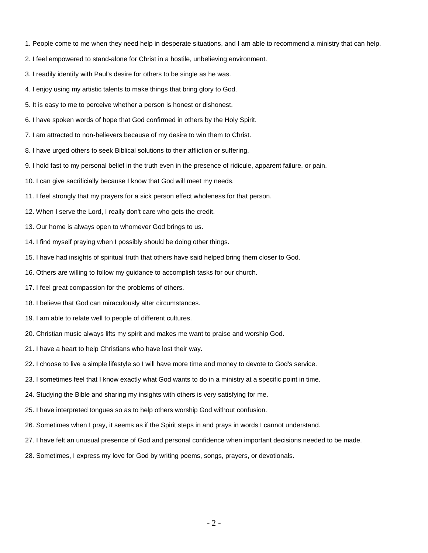- 1. People come to me when they need help in desperate situations, and I am able to recommend a ministry that can help.
- 2. I feel empowered to stand-alone for Christ in a hostile, unbelieving environment.
- 3. I readily identify with Paul's desire for others to be single as he was.
- 4. I enjoy using my artistic talents to make things that bring glory to God.
- 5. It is easy to me to perceive whether a person is honest or dishonest.
- 6. I have spoken words of hope that God confirmed in others by the Holy Spirit.
- 7. I am attracted to non-believers because of my desire to win them to Christ.
- 8. I have urged others to seek Biblical solutions to their affliction or suffering.
- 9. I hold fast to my personal belief in the truth even in the presence of ridicule, apparent failure, or pain.
- 10. I can give sacrificially because I know that God will meet my needs.
- 11. I feel strongly that my prayers for a sick person effect wholeness for that person.
- 12. When I serve the Lord, I really don't care who gets the credit.
- 13. Our home is always open to whomever God brings to us.
- 14. I find myself praying when I possibly should be doing other things.
- 15. I have had insights of spiritual truth that others have said helped bring them closer to God.
- 16. Others are willing to follow my guidance to accomplish tasks for our church.
- 17. I feel great compassion for the problems of others.
- 18. I believe that God can miraculously alter circumstances.
- 19. I am able to relate well to people of different cultures.
- 20. Christian music always lifts my spirit and makes me want to praise and worship God.
- 21. I have a heart to help Christians who have lost their way.
- 22. I choose to live a simple lifestyle so I will have more time and money to devote to God's service.
- 23. I sometimes feel that I know exactly what God wants to do in a ministry at a specific point in time.
- 24. Studying the Bible and sharing my insights with others is very satisfying for me.
- 25. I have interpreted tongues so as to help others worship God without confusion.
- 26. Sometimes when I pray, it seems as if the Spirit steps in and prays in words I cannot understand.
- 27. I have felt an unusual presence of God and personal confidence when important decisions needed to be made.
- 28. Sometimes, I express my love for God by writing poems, songs, prayers, or devotionals.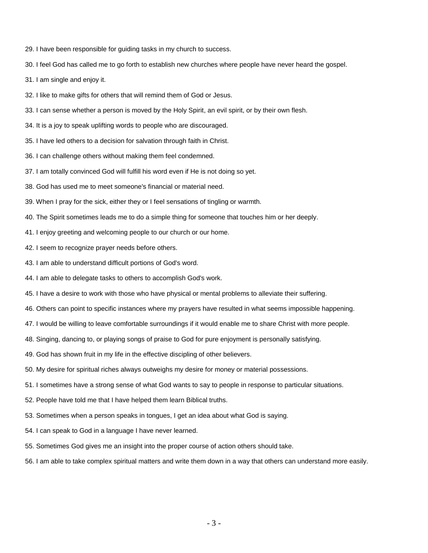- 29. I have been responsible for guiding tasks in my church to success.
- 30. I feel God has called me to go forth to establish new churches where people have never heard the gospel.
- 31. I am single and enjoy it.
- 32. I like to make gifts for others that will remind them of God or Jesus.
- 33. I can sense whether a person is moved by the Holy Spirit, an evil spirit, or by their own flesh.
- 34. It is a joy to speak uplifting words to people who are discouraged.
- 35. I have led others to a decision for salvation through faith in Christ.
- 36. I can challenge others without making them feel condemned.
- 37. I am totally convinced God will fulfill his word even if He is not doing so yet.
- 38. God has used me to meet someone's financial or material need.
- 39. When I pray for the sick, either they or I feel sensations of tingling or warmth.
- 40. The Spirit sometimes leads me to do a simple thing for someone that touches him or her deeply.
- 41. I enjoy greeting and welcoming people to our church or our home.
- 42. I seem to recognize prayer needs before others.
- 43. I am able to understand difficult portions of God's word.
- 44. I am able to delegate tasks to others to accomplish God's work.
- 45. I have a desire to work with those who have physical or mental problems to alleviate their suffering.
- 46. Others can point to specific instances where my prayers have resulted in what seems impossible happening.
- 47. I would be willing to leave comfortable surroundings if it would enable me to share Christ with more people.
- 48. Singing, dancing to, or playing songs of praise to God for pure enjoyment is personally satisfying.
- 49. God has shown fruit in my life in the effective discipling of other believers.
- 50. My desire for spiritual riches always outweighs my desire for money or material possessions.
- 51. I sometimes have a strong sense of what God wants to say to people in response to particular situations.
- 52. People have told me that I have helped them learn Biblical truths.
- 53. Sometimes when a person speaks in tongues, I get an idea about what God is saying.
- 54. I can speak to God in a language I have never learned.
- 55. Sometimes God gives me an insight into the proper course of action others should take.
- 56. I am able to take complex spiritual matters and write them down in a way that others can understand more easily.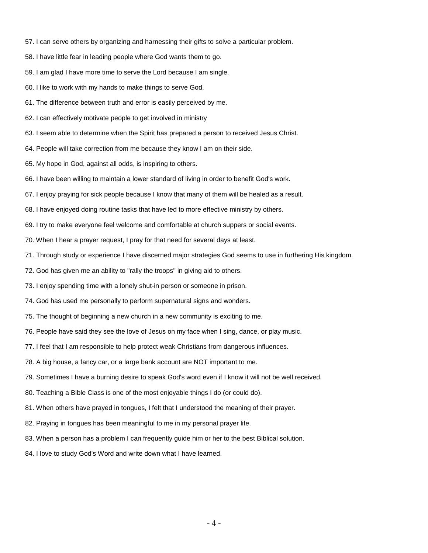- 57. I can serve others by organizing and harnessing their gifts to solve a particular problem.
- 58. I have little fear in leading people where God wants them to go.
- 59. I am glad I have more time to serve the Lord because I am single.
- 60. I like to work with my hands to make things to serve God.
- 61. The difference between truth and error is easily perceived by me.
- 62. I can effectively motivate people to get involved in ministry
- 63. I seem able to determine when the Spirit has prepared a person to received Jesus Christ.
- 64. People will take correction from me because they know I am on their side.
- 65. My hope in God, against all odds, is inspiring to others.
- 66. I have been willing to maintain a lower standard of living in order to benefit God's work.
- 67. I enjoy praying for sick people because I know that many of them will be healed as a result.
- 68. I have enjoyed doing routine tasks that have led to more effective ministry by others.
- 69. I try to make everyone feel welcome and comfortable at church suppers or social events.
- 70. When I hear a prayer request, I pray for that need for several days at least.
- 71. Through study or experience I have discerned major strategies God seems to use in furthering His kingdom.
- 72. God has given me an ability to "rally the troops" in giving aid to others.
- 73. I enjoy spending time with a lonely shut-in person or someone in prison.
- 74. God has used me personally to perform supernatural signs and wonders.
- 75. The thought of beginning a new church in a new community is exciting to me.
- 76. People have said they see the love of Jesus on my face when I sing, dance, or play music.
- 77. I feel that I am responsible to help protect weak Christians from dangerous influences.
- 78. A big house, a fancy car, or a large bank account are NOT important to me.
- 79. Sometimes I have a burning desire to speak God's word even if I know it will not be well received.
- 80. Teaching a Bible Class is one of the most enjoyable things I do (or could do).
- 81. When others have prayed in tongues, I felt that I understood the meaning of their prayer.
- 82. Praying in tongues has been meaningful to me in my personal prayer life.
- 83. When a person has a problem I can frequently guide him or her to the best Biblical solution.
- 84. I love to study God's Word and write down what I have learned.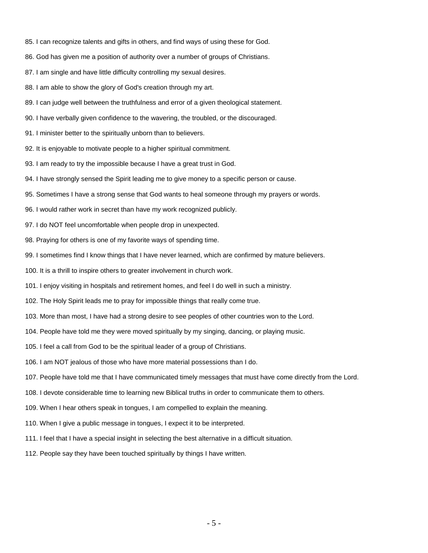- 85. I can recognize talents and gifts in others, and find ways of using these for God.
- 86. God has given me a position of authority over a number of groups of Christians.
- 87. I am single and have little difficulty controlling my sexual desires.
- 88. I am able to show the glory of God's creation through my art.
- 89. I can judge well between the truthfulness and error of a given theological statement.
- 90. I have verbally given confidence to the wavering, the troubled, or the discouraged.
- 91. I minister better to the spiritually unborn than to believers.
- 92. It is enjoyable to motivate people to a higher spiritual commitment.
- 93. I am ready to try the impossible because I have a great trust in God.
- 94. I have strongly sensed the Spirit leading me to give money to a specific person or cause.
- 95. Sometimes I have a strong sense that God wants to heal someone through my prayers or words.
- 96. I would rather work in secret than have my work recognized publicly.
- 97. I do NOT feel uncomfortable when people drop in unexpected.
- 98. Praying for others is one of my favorite ways of spending time.
- 99. I sometimes find I know things that I have never learned, which are confirmed by mature believers.
- 100. It is a thrill to inspire others to greater involvement in church work.
- 101. I enjoy visiting in hospitals and retirement homes, and feel I do well in such a ministry.
- 102. The Holy Spirit leads me to pray for impossible things that really come true.
- 103. More than most, I have had a strong desire to see peoples of other countries won to the Lord.
- 104. People have told me they were moved spiritually by my singing, dancing, or playing music.
- 105. I feel a call from God to be the spiritual leader of a group of Christians.
- 106. I am NOT jealous of those who have more material possessions than I do.
- 107. People have told me that I have communicated timely messages that must have come directly from the Lord.
- 108. I devote considerable time to learning new Biblical truths in order to communicate them to others.
- 109. When I hear others speak in tongues, I am compelled to explain the meaning.
- 110. When I give a public message in tongues, I expect it to be interpreted.
- 111. I feel that I have a special insight in selecting the best alternative in a difficult situation.
- 112. People say they have been touched spiritually by things I have written.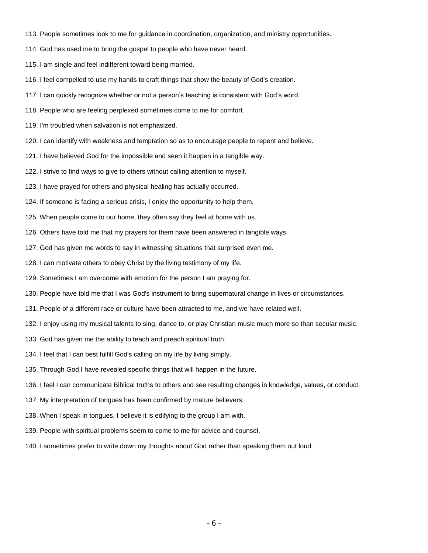- 113. People sometimes look to me for guidance in coordination, organization, and ministry opportunities.
- 114. God has used me to bring the gospel to people who have never heard.
- 115. I am single and feel indifferent toward being married.
- 116. I feel compelled to use my hands to craft things that show the beauty of God's creation.
- 117. I can quickly recognize whether or not a person's teaching is consistent with God's word.
- 118. People who are feeling perplexed sometimes come to me for comfort.
- 119. I'm troubled when salvation is not emphasized.
- 120. I can identify with weakness and temptation so as to encourage people to repent and believe.
- 121. I have believed God for the impossible and seen it happen in a tangible way.
- 122. I strive to find ways to give to others without calling attention to myself.
- 123. I have prayed for others and physical healing has actually occurred.
- 124. If someone is facing a serious crisis, I enjoy the opportunity to help them.
- 125. When people come to our home, they often say they feel at home with us.
- 126. Others have told me that my prayers for them have been answered in tangible ways.
- 127. God has given me words to say in witnessing situations that surprised even me.
- 128. I can motivate others to obey Christ by the living testimony of my life.
- 129. Sometimes I am overcome with emotion for the person I am praying for.
- 130. People have told me that I was God's instrument to bring supernatural change in lives or circumstances.
- 131. People of a different race or culture have been attracted to me, and we have related well.
- 132. I enjoy using my musical talents to sing, dance to, or play Christian music much more so than secular music.
- 133. God has given me the ability to teach and preach spiritual truth.
- 134. I feel that I can best fulfill God's calling on my life by living simply.
- 135. Through God I have revealed specific things that will happen in the future.
- 136. I feel I can communicate Biblical truths to others and see resulting changes in knowledge, values, or conduct.
- 137. My interpretation of tongues has been confirmed by mature believers.
- 138. When I speak in tongues, I believe it is edifying to the group I am with.
- 139. People with spiritual problems seem to come to me for advice and counsel.
- 140. I sometimes prefer to write down my thoughts about God rather than speaking them out loud.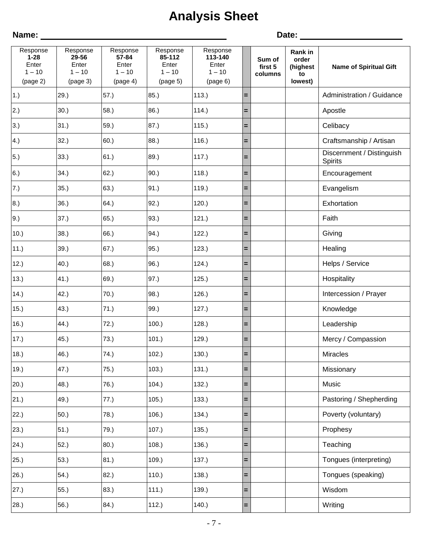# **Analysis Sheet**

**Name:** Date: Response **1-28** Enter  $1 - 10$ (page 2) Response **29-56** Enter  $1 - 10$ (page 3) Response **57-84** Enter  $1 - 10$ (page 4) Response **85-112** Enter  $1 - 10$ (page 5) Response **113-140** Enter  $1 - 10$ (page 6) **Sum of first 5 columns Rank in order (highest to lowest) Name of Spiritual Gift** 1.) 29.) **57.** 29.) **57.** 85. **1113. = Administration / Guidance** 2.) |30.) |58.) |86.) |114.) **|= |** | | Apostle 3.) 31.) 59.) 87.) 115.) **=** Celibacy 4.) 32.) 60.) 88.) 116.) **=** Craftsmanship / Artisan 5.) 33.) 61.) 89.) 117.) **=** Discernment / Distinguish **Spirits** 6.) 34.) 62.) 90.) 118.) **=** Encouragement 7.) 35.) 63.) 91.) 119.) **=** Evangelism 8.) 36.) 64.) 92.) 120.) **=** Exhortation 9.) 37.) 65.) 93.) 121.) **=** Faith 10.) 38.) 66.) 94.) 122.) **=** Giving 11.) 39.) 67.) 95.) 123.) **=** Healing 12.) 40.) 68.) 96.) 124.) **=** Helps / Service 13.) 41.) 69.) 97.) 125.) **=** Hospitality 14.)  $\vert$ 42.)  $\vert$  70.)  $\vert$ 98.)  $\vert$  126.)  $\vert$  =  $\vert$   $\vert$   $\vert$  Intercession / Prayer 15.) 43.) 71.) 99.) 127.) **=** Knowledge 16.) 44.) 72.) 100.) 128.) **=** Leadership 17.) 45.) 73.) 101.) 129.) **=** Mercy / Compassion 18.) 46.) 74.) 102.) 130.) **=** Miracles 19.) 47.) 75.) 103.) 131.) **=** Missionary 20.) 48.) 76.) 104.) 132.) **=** Music 21.) 49.) 77.) 105.) 133.) **=** Pastoring / Shepherding 22.) 50.) 78.) 106.) 134.) **=** Poverty (voluntary) 23.) 51.) 79.) 107.) 135.) **=** Prophesy 24.) 52.) 80.) 108.) 136.) **=** Teaching 25.) 53.) 81.) 109.) 137.) **=** Tongues (interpreting) 26.) 54.) 82.) 110.) 138.) **=** Tongues (speaking) 27.) 55.) 83.) 111.) 139.) **=** Wisdom 28.) 56.) 84.) 112.) 140.) **=** Writing